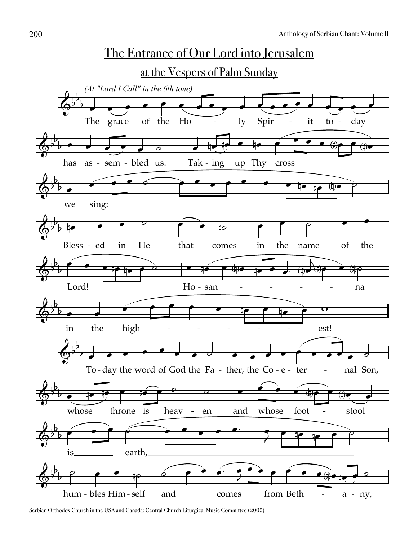

Serbian Orthodox Church in the USA and Canada: Central Church Liturgical Music Committee (2005)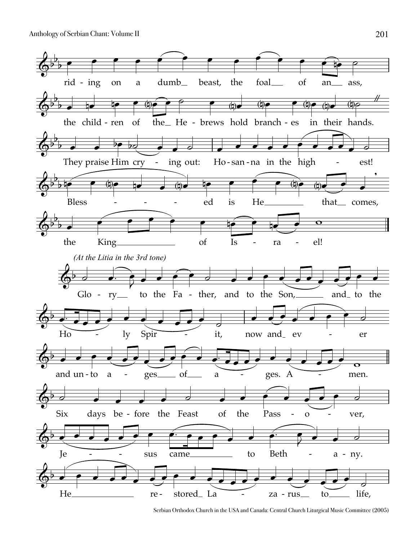Anthology of Serbian Chant: Volume II



Serbian Orthodox Church in the USA and Canada: Central Church Liturgical Music Committee (2005)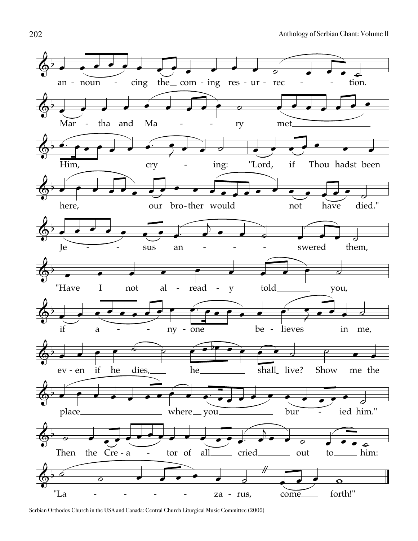

Serbian Orthodox Church in the USA and Canada: Central Church Liturgical Music Committee (2005)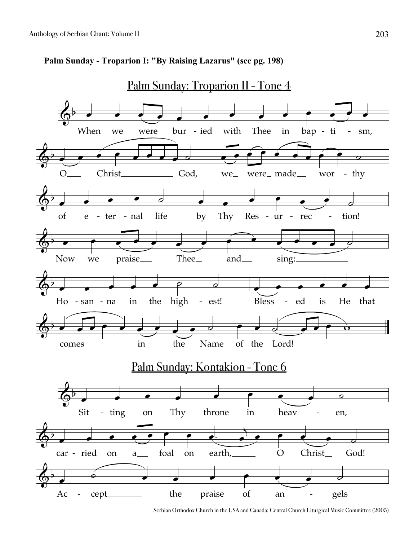

## **Palm Sunday - Troparion I: "By Raising Lazarus" (see pg. 198)**

Serbian Orthodox Church in the USA and Canada: Central Church Liturgical Music Committee (2005)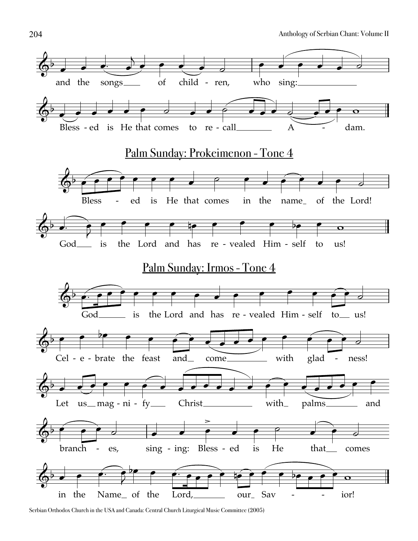

Serbian Orthodox Church in the USA and Canada: Central Church Liturgical Music Committee (2005)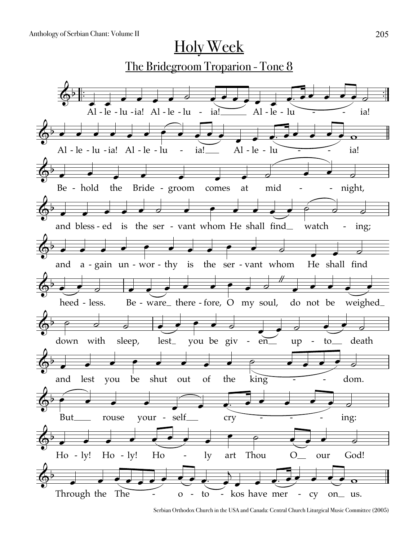

Serbian Orthodox Church in the USA and Canada: Central Church Liturgical Music Committee (2005)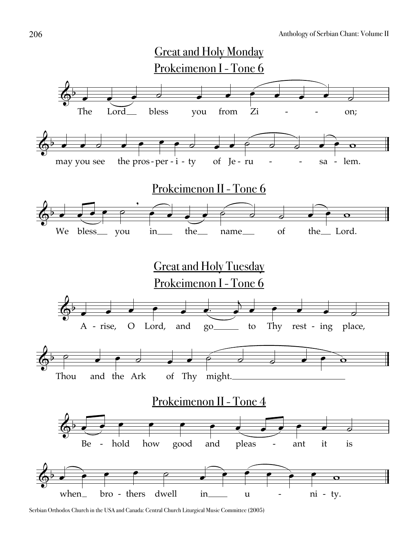

Serbian Orthodox Church in the USA and Canada: Central Church Liturgical Music Committee (2005)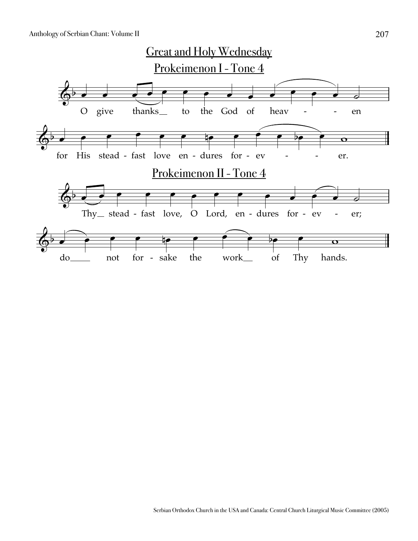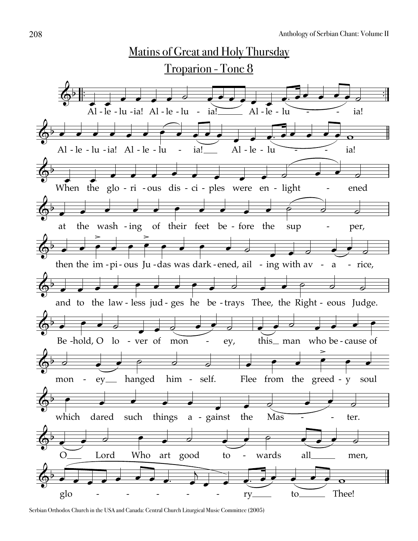

Serbian Orthodox Church in the USA and Canada: Central Church Liturgical Music Committee (2005)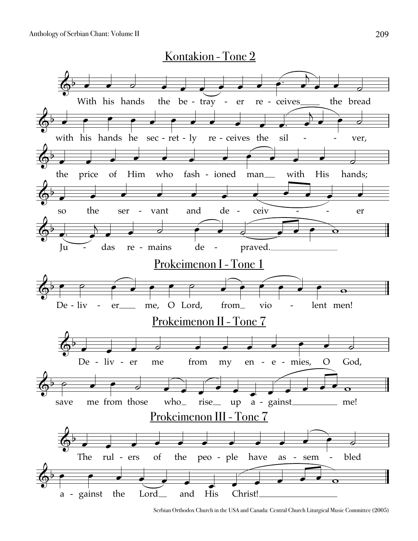

Serbian Orthodox Church in the USA and Canada: Central Church Liturgical Music Committee (2005)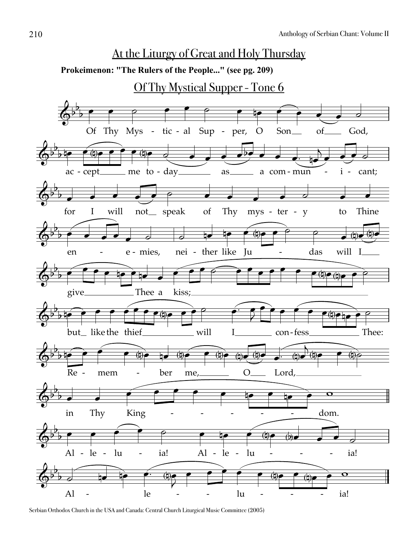

Serbian Orthodox Church in the USA and Canada: Central Church Liturgical Music Committee (2005)